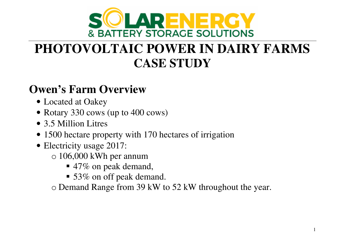

# **PHOTOVOLTAIC POWER IN DAIRY FARMSCASE STUDY**

#### **Owen's Farm Overview**

- Located at Oakey
- Rotary 330 cows (up to 400 cows)
- 3.5 Million Litres
- 1500 hectare property with 170 hectares of irrigation
- Electricity usage 2017:
	- $\circ$  106,000 kWh per annum
		- $\blacksquare$  47% on peak demand,
		- 53% on off peak demand.

o Demand Range from 39 kW to 52 kW throughout the year.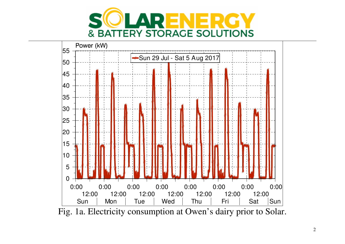



Fig. 1a. Electricity consumption at Owen's dairy prior to Solar.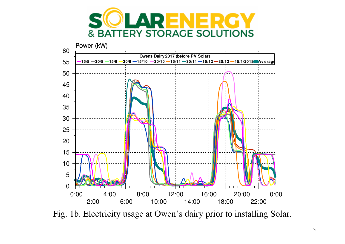



Fig. 1b. Electricity usage at Owen's dairy prior to installing Solar.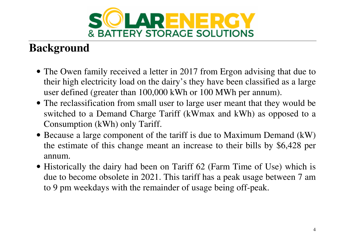

# **Background**

- The Owen family received a letter in 2017 from Ergon advising that due to their high electricity load on the dairy's they have been classified as a large user defined (greater than 100,000 kWh or 100 MWh per annum).
- The reclassification from small user to large user meant that they would be switched to a Demand Charge Tariff (kWmax and kWh) as opposed to a Consumption (kWh) only Tariff.
- Because a large component of the tariff is due to Maximum Demand (kW) the estimate of this change meant an increase to their bills by \$6,428 per annum.
- Historically the dairy had been on Tariff 62 (Farm Time of Use) which is due to become obsolete in 2021. This tariff has a peak usage between 7 am to 9 pm weekdays with the remainder of usage being off-peak.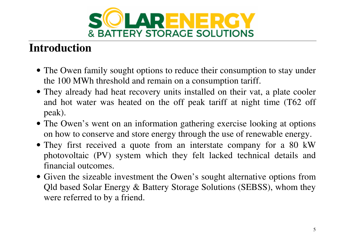

# **Introduction**

- The Owen family sought options to reduce their consumption to stay under the 100 MWh threshold and remain on a consumption tariff.
- They already had heat recovery units installed on their vat, a plate cooler and hot water was heated on the off peak tariff at night time (T62 off peak).
- The Owen's went on an information gathering exercise looking at options on how to conserve and store energy through the use of renewable energy.
- They first received a quote from an interstate company for a 80 kW photovoltaic (PV) system which they felt lacked technical details and financial outcomes.
- Given the sizeable investment the Owen's sought alternative options from Qld based Solar Energy & Battery Storage Solutions (SEBSS), whom they were referred to by a friend.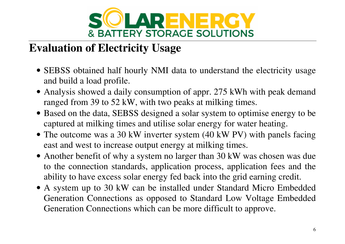

## **Evaluation of Electricity Usage**

- SEBSS obtained half hourly NMI data to understand the electricity usage and build a load profile.
- Analysis showed a daily consumption of appr. 275 kWh with peak demand ranged from 39 to 52 kW, with two peaks at milking times.
- Based on the data, SEBSS designed a solar system to optimise energy to be captured at milking times and utilise solar energy for water heating.
- The outcome was a 30 kW inverter system (40 kW PV) with panels facing east and west to increase output energy at milking times.
- Another benefit of why a system no larger than 30 kW was chosen was due to the connection standards, application process, application fees and the ability to have excess solar energy fed back into the grid earning credit.
- A system up to 30 kW can be installed under Standard Micro Embedded Generation Connections as opposed to Standard Low Voltage Embedded Generation Connections which can be more difficult to approve.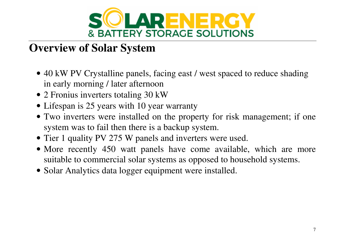

## **Overview of Solar System**

- 40 kW PV Crystalline panels, facing east / west spaced to reduce shading in early morning / later afternoon
- 2 Fronius inverters totaling 30 kW
- Lifespan is 25 years with 10 year warranty
- Two inverters were installed on the property for risk management; if one system was to fail then there is a backup system.
- Tier 1 quality PV 275 W panels and inverters were used.
- More recently 450 watt panels have come available, which are more suitable to commercial solar systems as opposed to household systems.
- Solar Analytics data logger equipment were installed.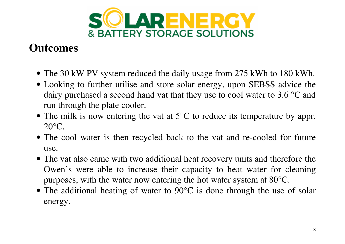

## **Outcomes**

- The 30 kW PV system reduced the daily usage from 275 kWh to 180 kWh.
- Looking to further utilise and store solar energy, upon SEBSS advice the dairy purchased a second hand vat that they use to cool water to 3.6 °C and run through the plate cooler.
- The milk is now entering the vat at 5<sup>o</sup>C to reduce its temperature by appr.  $20^{\circ}$ C.
- The cool water is then recycled back to the vat and re-cooled for future use.
- The vat also came with two additional heat recovery units and therefore the Owen's were able to increase their capacity to heat water for cleaning purposes, with the water now entering the hot water system at 80°C.
- The additional heating of water to 90°C is done through the use of solar energy.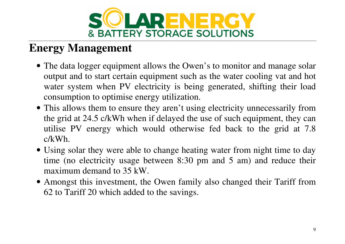

### **Energy Management**

- The data logger equipment allows the Owen's to monitor and manage solar output and to start certain equipment such as the water cooling vat and hot water system when PV electricity is being generated, shifting their load consumption to optimise energy utilization.
- This allows them to ensure they aren't using electricity unnecessarily from the grid at 24.5 c/kWh when if delayed the use of such equipment, they can utilise PV energy which would otherwise fed back to the grid at 7.8 c/kWh.
- Using solar they were able to change heating water from night time to day time (no electricity usage between 8:30 pm and 5 am) and reduce their maximum demand to 35 kW.
- Amongst this investment, the Owen family also changed their Tariff from 62 to Tariff 20 which added to the savings.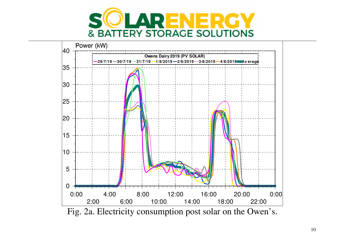



Fig. 2a. Electricity consumption post solar on the Owen's.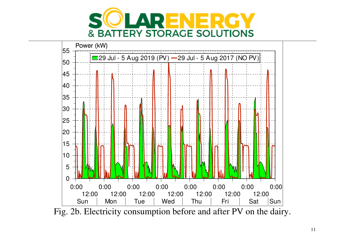



Fig. 2b. Electricity consumption before and after PV on the dairy.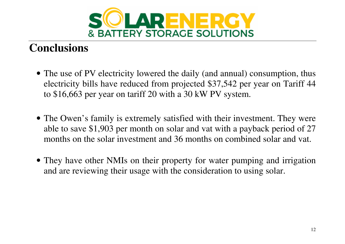

#### **Conclusions**

- The use of PV electricity lowered the daily (and annual) consumption, thus electricity bills have reduced from projected \$37,542 per year on Tariff 44 to \$16,663 per year on tariff 20 with a 30 kW PV system.
- The Owen's family is extremely satisfied with their investment. They were able to save \$1,903 per month on solar and vat with a payback period of 27 months on the solar investment and 36 months on combined solar and vat.
- They have other NMIs on their property for water pumping and irrigation and are reviewing their usage with the consideration to using solar.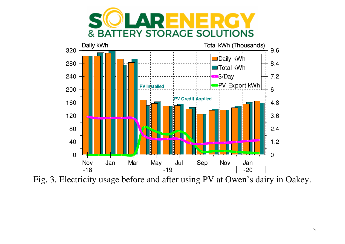



Fig. 3. Electricity usage before and after using PV at Owen's dairy in Oakey.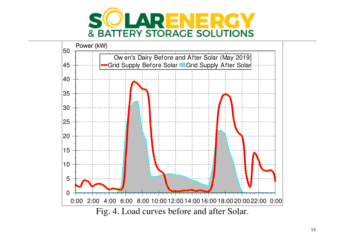